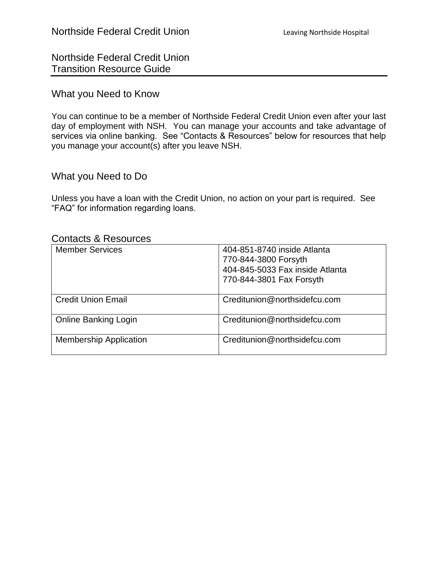Northside Federal Credit Union Transition Resource Guide

## What you Need to Know

You can continue to be a member of Northside Federal Credit Union even after your last day of employment with NSH. You can manage your accounts and take advantage of services via online banking. See "Contacts & Resources" below for resources that help you manage your account(s) after you leave NSH.

# What you Need to Do

Unless you have a loan with the Credit Union, no action on your part is required. See "FAQ" for information regarding loans.

# Contacts & Resources

| <b>Member Services</b>        | 404-851-8740 inside Atlanta     |
|-------------------------------|---------------------------------|
|                               | 770-844-3800 Forsyth            |
|                               | 404-845-5033 Fax inside Atlanta |
|                               | 770-844-3801 Fax Forsyth        |
|                               |                                 |
| <b>Credit Union Email</b>     | Creditunion@northsidefcu.com    |
|                               |                                 |
| <b>Online Banking Login</b>   | Creditunion@northsidefcu.com    |
|                               |                                 |
| <b>Membership Application</b> | Creditunion@northsidefcu.com    |
|                               |                                 |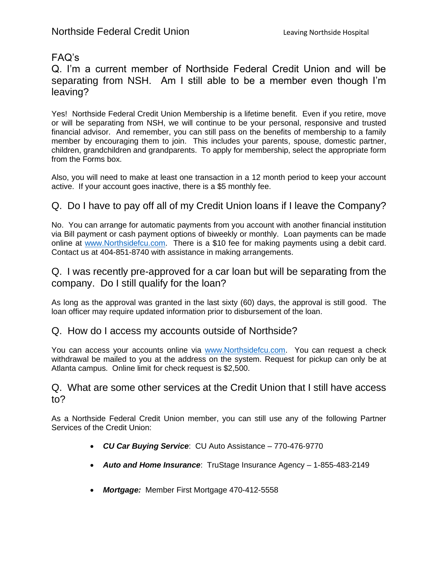# FAQ's

Q. I'm a current member of Northside Federal Credit Union and will be separating from NSH. Am I still able to be a member even though I'm leaving?

Yes! Northside Federal Credit Union Membership is a lifetime benefit. Even if you retire, move or will be separating from NSH, we will continue to be your personal, responsive and trusted financial advisor. And remember, you can still pass on the benefits of membership to a family member by encouraging them to join. This includes your parents, spouse, domestic partner, children, grandchildren and grandparents. To apply for membership, select the appropriate form from the Forms box.

Also, you will need to make at least one transaction in a 12 month period to keep your account active. If your account goes inactive, there is a \$5 monthly fee.

# Q. Do I have to pay off all of my Credit Union loans if I leave the Company?

No. You can arrange for automatic payments from you account with another financial institution via Bill payment or cash payment options of biweekly or monthly. Loan payments can be made online at [www.Northsidefcu.com.](http://www.northsidefcu.com/) There is a \$10 fee for making payments using a debit card. Contact us at 404-851-8740 with assistance in making arrangements.

## Q. I was recently pre-approved for a car loan but will be separating from the company. Do I still qualify for the loan?

As long as the approval was granted in the last sixty (60) days, the approval is still good. The loan officer may require updated information prior to disbursement of the loan.

#### Q. How do I access my accounts outside of Northside?

You can access your accounts online via [www.Northsidefcu.com.](http://www.northsidefcu.com/) You can request a check withdrawal be mailed to you at the address on the system. Request for pickup can only be at Atlanta campus. Online limit for check request is \$2,500.

#### Q. What are some other services at the Credit Union that I still have access to?

As a Northside Federal Credit Union member, you can still use any of the following Partner Services of the Credit Union:

- *CU Car Buying Service*: CU Auto Assistance 770-476-9770
- *Auto and Home Insurance*: TruStage Insurance Agency 1-855-483-2149
- *Mortgage:* Member First Mortgage 470-412-5558